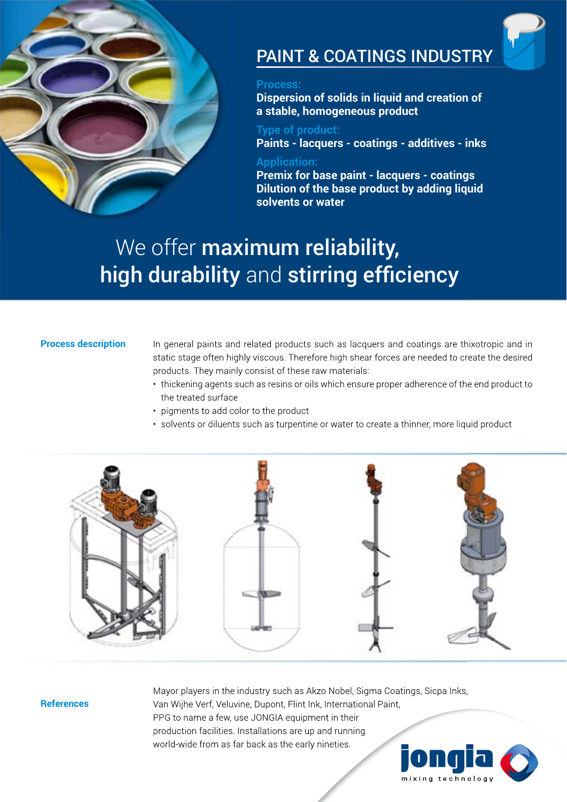

# PAINT & COATINGS INDUSTRY

### **Process:**

**Dispersion of solids in liquid and creation of a stable, homogeneous product** 

### **Type of product: Paints - lacquers - coatings - additives - inks**

### **Application:**

**Premix for base paint - lacquers - coatings Dilution of the base product by adding liquid solvents or water**

# We offer maximum reliability, high durability and stirring efficiency

### **Process description**

In general paints and related products such as lacquers and coatings are thixotropic and in static stage often highly viscous. Therefore high shear forces are needed to create the desired products. They mainly consist of these raw materials:

- thickening agents such as resins or oils which ensure proper adherence of the end product to the treated surface
- pigments to add color to the product
- solvents or diluents such as turpentine or water to create a thinner, more liquid product



### **References**

Mayor players in the industry such as Akzo Nobel, Sigma Coatings, Sicpa Inks, Van Wijhe Verf, Veluvine, Dupont, Flint Ink, International Paint, PPG to name a few, use JONGIA equipment in their production facilities. Installations are up and running world-wide from as far back as the early nineties.